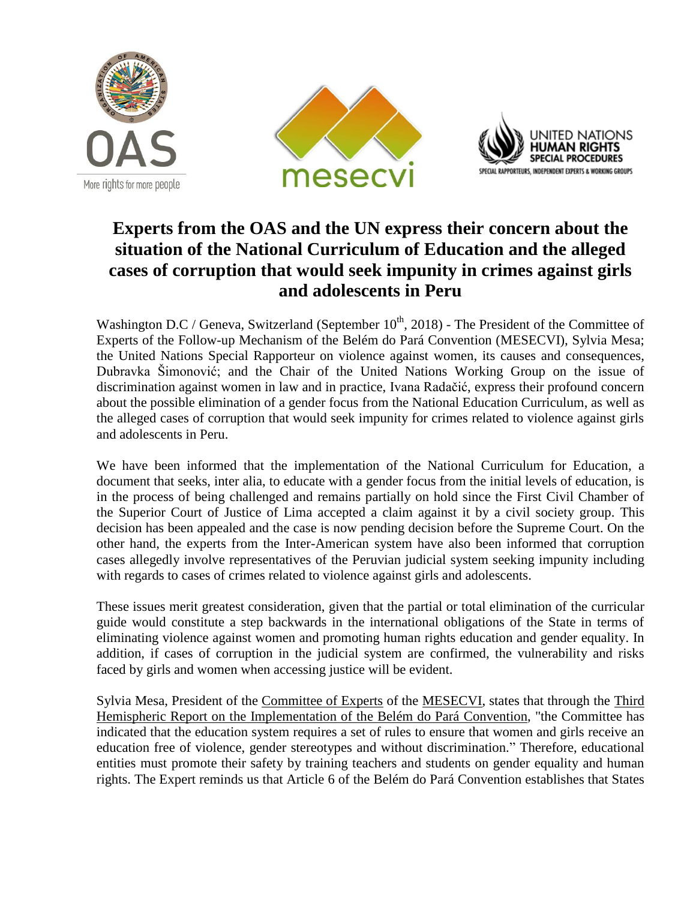





## **Experts from the OAS and the UN express their concern about the situation of the National Curriculum of Education and the alleged cases of corruption that would seek impunity in crimes against girls and adolescents in Peru**

Washington D.C / Geneva, Switzerland (September  $10^{th}$ , 2018) - The President of the Committee of Experts of the Follow-up Mechanism of the Belém do Pará Convention (MESECVI), Sylvia Mesa; the United Nations Special Rapporteur on violence against women, its causes and consequences, Dubravka Šimonović; and the Chair of the United Nations Working Group on the issue of discrimination against women in law and in practice, Ivana Radačić, express their profound concern about the possible elimination of a gender focus from the National Education Curriculum, as well as the alleged cases of corruption that would seek impunity for crimes related to violence against girls and adolescents in Peru.

We have been informed that the implementation of the National Curriculum for Education, a document that seeks, inter alia, to educate with a gender focus from the initial levels of education, is in the process of being challenged and remains partially on hold since the First Civil Chamber of the Superior Court of Justice of Lima accepted a claim against it by a civil society group. This decision has been appealed and the case is now pending decision before the Supreme Court. On the other hand, the experts from the Inter-American system have also been informed that corruption cases allegedly involve representatives of the Peruvian judicial system seeking impunity including with regards to cases of crimes related to violence against girls and adolescents.

These issues merit greatest consideration, given that the partial or total elimination of the curricular guide would constitute a step backwards in the international obligations of the State in terms of eliminating violence against women and promoting human rights education and gender equality. In addition, if cases of corruption in the judicial system are confirmed, the vulnerability and risks faced by girls and women when accessing justice will be evident.

Sylvia Mesa, President of the [Committee of Experts](http://www.oas.org/en/mesecvi/Experts.asp) of the [MESECVI,](http://www.oas.org/en/mesecvi/about.asp) states that through the [Third](http://www.oas.org/en/mesecvi/docs/TercerInformeHemisferico-EN.pdf)  [Hemispheric Report on the Implementation of the Belém do Pará](http://www.oas.org/en/mesecvi/docs/TercerInformeHemisferico-EN.pdf) Convention, "the Committee has indicated that the education system requires a set of rules to ensure that women and girls receive an education free of violence, gender stereotypes and without discrimination." Therefore, educational entities must promote their safety by training teachers and students on gender equality and human rights. The Expert reminds us that Article 6 of the Belém do Pará Convention establishes that States